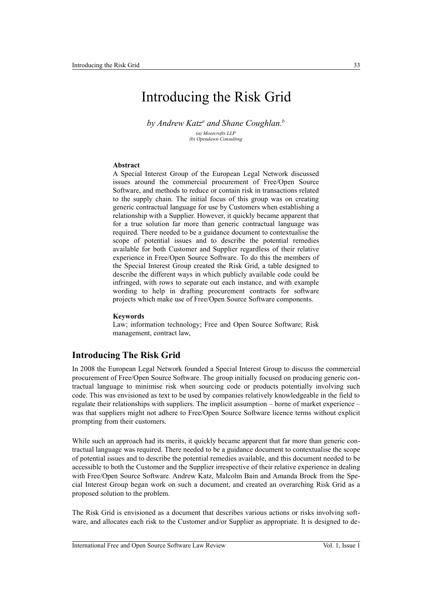# Introducing the Risk Grid

by Andrew Katz<sup>a</sup> and Shane Coughlan.<sup>*b*</sup>

*(a) Moorcrofts LLP (b) Opendawn Consulting*

### **Abstract**

A Special Interest Group of the European Legal Network discussed issues around the commercial procurement of Free/Open Source Software, and methods to reduce or contain risk in transactions related to the supply chain. The initial focus of this group was on creating generic contractual language for use by Customers when establishing a relationship with a Supplier. However, it quickly became apparent that for a true solution far more than generic contractual language was required. There needed to be a guidance document to contextualise the scope of potential issues and to describe the potential remedies available for both Customer and Supplier regardless of their relative experience in Free/Open Source Software. To do this the members of the Special Interest Group created the Risk Grid, a table designed to describe the different ways in which publicly available code could be infringed, with rows to separate out each instance, and with example wording to help in drafting procurement contracts for software projects which make use of Free/Open Source Software components.

#### **Keywords**

Law; information technology; Free and Open Source Software; Risk management, contract law,

# **Introducing The Risk Grid**

In 2008 the European Legal Network founded a Special Interest Group to discuss the commercial procurement of Free/Open Source Software. The group initially focused on producing generic contractual language to minimise risk when sourcing code or products potentially involving such code. This was envisioned as text to be used by companies relatively knowledgeable in the field to regulate their relationships with suppliers. The implicit assumption – borne of market experience – was that suppliers might not adhere to Free/Open Source Software licence terms without explicit prompting from their customers.

While such an approach had its merits, it quickly became apparent that far more than generic contractual language was required. There needed to be a guidance document to contextualise the scope of potential issues and to describe the potential remedies available, and this document needed to be accessible to both the Customer and the Supplier irrespective of their relative experience in dealing with Free/Open Source Software. Andrew Katz, Malcolm Bain and Amanda Brock from the Special Interest Group began work on such a document, and created an overarching Risk Grid as a proposed solution to the problem.

The Risk Grid is envisioned as a document that describes various actions or risks involving software, and allocates each risk to the Customer and/or Supplier as appropriate. It is designed to de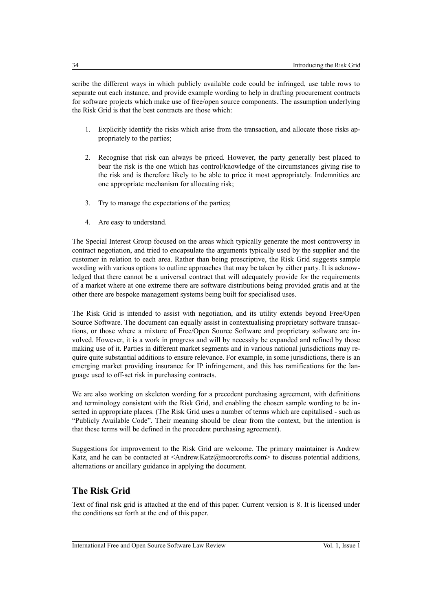scribe the different ways in which publicly available code could be infringed, use table rows to separate out each instance, and provide example wording to help in drafting procurement contracts for software projects which make use of free/open source components. The assumption underlying the Risk Grid is that the best contracts are those which:

- 1. Explicitly identify the risks which arise from the transaction, and allocate those risks appropriately to the parties;
- 2. Recognise that risk can always be priced. However, the party generally best placed to bear the risk is the one which has control/knowledge of the circumstances giving rise to the risk and is therefore likely to be able to price it most appropriately. Indemnities are one appropriate mechanism for allocating risk;
- 3. Try to manage the expectations of the parties;
- 4. Are easy to understand.

The Special Interest Group focused on the areas which typically generate the most controversy in contract negotiation, and tried to encapsulate the arguments typically used by the supplier and the customer in relation to each area. Rather than being prescriptive, the Risk Grid suggests sample wording with various options to outline approaches that may be taken by either party. It is acknowledged that there cannot be a universal contract that will adequately provide for the requirements of a market where at one extreme there are software distributions being provided gratis and at the other there are bespoke management systems being built for specialised uses.

The Risk Grid is intended to assist with negotiation, and its utility extends beyond Free/Open Source Software. The document can equally assist in contextualising proprietary software transactions, or those where a mixture of Free/Open Source Software and proprietary software are involved. However, it is a work in progress and will by necessity be expanded and refined by those making use of it. Parties in different market segments and in various national jurisdictions may require quite substantial additions to ensure relevance. For example, in some jurisdictions, there is an emerging market providing insurance for IP infringement, and this has ramifications for the language used to off-set risk in purchasing contracts.

We are also working on skeleton wording for a precedent purchasing agreement, with definitions and terminology consistent with the Risk Grid, and enabling the chosen sample wording to be inserted in appropriate places. (The Risk Grid uses a number of terms which are capitalised - such as "Publicly Available Code". Their meaning should be clear from the context, but the intention is that these terms will be defined in the precedent purchasing agreement).

Suggestions for improvement to the Risk Grid are welcome. The primary maintainer is Andrew Katz, and he can be contacted at  $\leq$ Andrew.Katz@moorcrofts.com $\geq$  to discuss potential additions, alternations or ancillary guidance in applying the document.

# **The Risk Grid**

Text of final risk grid is attached at the end of this paper. Current version is 8. It is licensed under the conditions set forth at the end of this paper.